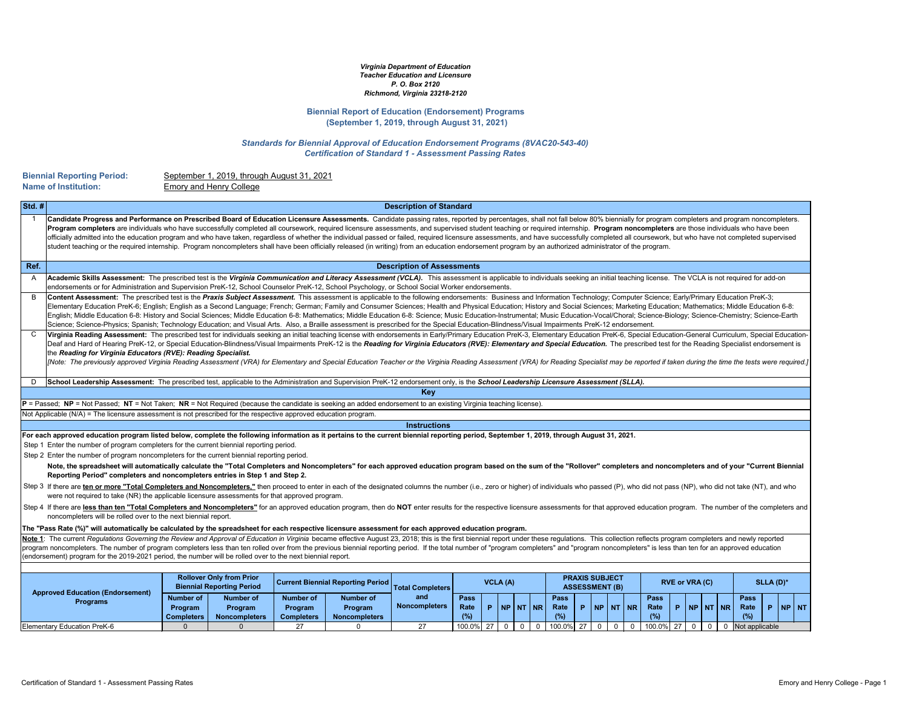**Biennial Reporting Period:** September 1, 2019, through August 31, 2021 **Emory and Henry College** 

| $\left  \mathsf{Std.} \# \right $ | <b>Description of Standard</b>                                                                                                                                                                                                                                                                                                                                                                                                                                                                                                                                                                                                                                                                                                                                                                                                                                                                                 |
|-----------------------------------|----------------------------------------------------------------------------------------------------------------------------------------------------------------------------------------------------------------------------------------------------------------------------------------------------------------------------------------------------------------------------------------------------------------------------------------------------------------------------------------------------------------------------------------------------------------------------------------------------------------------------------------------------------------------------------------------------------------------------------------------------------------------------------------------------------------------------------------------------------------------------------------------------------------|
|                                   | Candidate Progress and Performance on Prescribed Board of Education Licensure Assessments. Candidate passing rates, reported by percentages, shall not fall below 80% biennially for program completers and program noncomplet<br>Program completers are individuals who have successfully completed all coursework, required licensure assessments, and supervised student teaching or required internship. Program noncompleters are those individuals who hav<br>officially admitted into the education program and who have taken, regardless of whether the individual passed or failed, required licensure assessments, and have successfully completed all coursework, but who have not com<br>student teaching or the required internship. Program noncompleters shall have been officially released (in writing) from an education endorsement program by an authorized administrator of the program. |
| Ref.                              | <b>Description of Assessments</b>                                                                                                                                                                                                                                                                                                                                                                                                                                                                                                                                                                                                                                                                                                                                                                                                                                                                              |
| $\mathsf{A}$                      | Academic Skills Assessment: The prescribed test is the Virginia Communication and Literacy Assessment (VCLA). This assessment is applicable to individuals seeking an initial teaching license. The VCLA is not required for a<br>endorsements or for Administration and Supervision PreK-12, School Counselor PreK-12, School Psychology, or School Social Worker endorsements.                                                                                                                                                                                                                                                                                                                                                                                                                                                                                                                               |
| B                                 | Content Assessment: The prescribed test is the Praxis Subject Assessment. This assessment is applicable to the following endorsements: Business and Information Technology; Computer Science; Early/Primary Education PreK-3;<br>Elementary Education PreK-6; English; English as a Second Language; French; German; Family and Consumer Sciences; Health and Physical Education; History and Social Sciences; Marketing Education; Mathematics; Middle Educati<br>English; Middle Education 6-8: History and Social Sciences; Middle Education 6-8: Mathematics; Middle Education 6-8: Science; Music Education-Instrumental; Music Education-Vocal/Choral; Science-Biology; Science-Chemistry;<br>Science; Science-Physics; Spanish; Technology Education; and Visual Arts. Also, a Braille assessment is prescribed for the Special Education-Blindness/Visual Impairments PreK-12 endorsement.             |
|                                   | Virginia Reading Assessment: The prescribed test for individuals seeking an initial teaching license with endorsements in Early/Primary Education PreK-3, Elementary Education PreK-6, Special Education-General Curriculum, S<br>Deaf and Hard of Hearing PreK-12, or Special Education-Blindness/Visual Impairments PreK-12 is the Reading for Virginia Educators (RVE): Elementary and Special Education. The prescribed test for the Reading Specialist endo<br>the Reading for Virginia Educators (RVE): Reading Specialist.<br>[Note: The previously approved Virginia Reading Assessment (VRA) for Elementary and Special Education Teacher or the Virginia Reading Assessment (VRA) for Reading Specialist may be reported if taken during the time the tes                                                                                                                                            |
| D                                 | School Leadership Assessment: The prescribed test, applicable to the Administration and Supervision PreK-12 endorsement only, is the School Leadership Licensure Assessment (SLLA).                                                                                                                                                                                                                                                                                                                                                                                                                                                                                                                                                                                                                                                                                                                            |
|                                   | <b>Key</b>                                                                                                                                                                                                                                                                                                                                                                                                                                                                                                                                                                                                                                                                                                                                                                                                                                                                                                     |
|                                   | $P$ = Passed; NP = Not Passed; NT = Not Taken; NR = Not Required (because the candidate is seeking an added endorsement to an existing Virginia teaching license).                                                                                                                                                                                                                                                                                                                                                                                                                                                                                                                                                                                                                                                                                                                                             |
|                                   | Not Applicable (N/A) = The licensure assessment is not prescribed for the respective approved education program.                                                                                                                                                                                                                                                                                                                                                                                                                                                                                                                                                                                                                                                                                                                                                                                               |
|                                   | <b>Instructions</b>                                                                                                                                                                                                                                                                                                                                                                                                                                                                                                                                                                                                                                                                                                                                                                                                                                                                                            |
|                                   | For each approved education program listed below, complete the following information as it pertains to the current biennial reporting period, September 1, 2019, through August 31, 2021.                                                                                                                                                                                                                                                                                                                                                                                                                                                                                                                                                                                                                                                                                                                      |
|                                   | Step 1 Enter the number of program completers for the current biennial reporting period.                                                                                                                                                                                                                                                                                                                                                                                                                                                                                                                                                                                                                                                                                                                                                                                                                       |
|                                   | Step 2 Enter the number of program noncompleters for the current biennial reporting period.                                                                                                                                                                                                                                                                                                                                                                                                                                                                                                                                                                                                                                                                                                                                                                                                                    |
|                                   | Note, the spreadsheet will automatically calculate the "Total Completers and Noncompleters" for each approved education program based on the sum of the "Rollover" completers and noncompleters and of your "Current Bie<br>Reporting Period" completers and noncompleters entries in Step 1 and Step 2.                                                                                                                                                                                                                                                                                                                                                                                                                                                                                                                                                                                                       |
|                                   | Step 3 If there are ten or more "Total Completers and Noncompleters," then proceed to enter in each of the designated columns the number (i.e., zero or higher) of individuals who passed (P), who did not pass (NP), who did                                                                                                                                                                                                                                                                                                                                                                                                                                                                                                                                                                                                                                                                                  |
|                                   | were not required to take (NR) the applicable licensure assessments for that approved program.                                                                                                                                                                                                                                                                                                                                                                                                                                                                                                                                                                                                                                                                                                                                                                                                                 |
|                                   | Step 4 If there are less than ten "Total Completers and Noncompleters" for an approved education program, then do NOT enter results for the respective licensure assessments for that approved education program. The number o<br>noncompleters will be rolled over to the next biennial report.                                                                                                                                                                                                                                                                                                                                                                                                                                                                                                                                                                                                               |
|                                   | The "Pass Rate (%)" will automatically be calculated by the spreadsheet for each respective licensure assessment for each approved education program.                                                                                                                                                                                                                                                                                                                                                                                                                                                                                                                                                                                                                                                                                                                                                          |
|                                   | Note 1: The current Regulations Governing the Review and Approval of Education in Virginia became effective August 23, 2018; this is the first biennial report under these regulations. This collection reflects program compl                                                                                                                                                                                                                                                                                                                                                                                                                                                                                                                                                                                                                                                                                 |
|                                   | program noncompleters. The number of program completers less than ten rolled over from the previous biennial reporting period. If the total number of "program completers" and "program noncompleters" is less than ten for an                                                                                                                                                                                                                                                                                                                                                                                                                                                                                                                                                                                                                                                                                 |
|                                   | (endorsement) program for the 2019-2021 period, the number will be rolled over to the next biennial report.                                                                                                                                                                                                                                                                                                                                                                                                                                                                                                                                                                                                                                                                                                                                                                                                    |
|                                   |                                                                                                                                                                                                                                                                                                                                                                                                                                                                                                                                                                                                                                                                                                                                                                                                                                                                                                                |
|                                   | <b>Rollover Only from Prior</b><br><b>PRAXIS SUBJECT</b><br><b>Current Biennial Reporting Period</b><br><b>VCLA (A)</b><br><b>RVE or VRA (C)</b><br>SLLA (D)*<br><b>Biennial Reporting Period</b><br><b>ASSESSMENT (B)</b><br><b>Total Completers</b>                                                                                                                                                                                                                                                                                                                                                                                                                                                                                                                                                                                                                                                          |
|                                   | <b>Approved Education (Endorsement)</b><br>and<br><b>Pass</b><br><b>Pass</b><br><b>Pass</b><br><b>Number of</b><br><b>Pass</b><br><b>Number of</b><br><b>Number of</b><br><b>Number of</b><br><b>Programs</b><br><b>Noncompleters</b><br>$P$ NP NT NR<br>$P$ NP NT NR<br>$P$ NP NT NR<br>$P$   N<br>Rate<br>Rate<br>Rate<br>Rate<br>Program<br>Program<br>Program<br>Program<br>(%)<br>(%)<br>(%)<br><b>Noncompleters</b><br>(%)<br><b>Completers</b><br><b>Completers</b><br><b>Noncompleters</b>                                                                                                                                                                                                                                                                                                                                                                                                             |
|                                   | $\overline{27}$<br>27<br>100.0% 27<br>100.0% 27<br>Elementary Education PreK-6<br>100.0%<br>27<br>$\overline{0}$<br>$\overline{0}$<br>$\mathbf{0}$<br>$\mathbf{0}$<br>$\mathbf 0$<br>$\overline{0}$<br>$\overline{0}$<br>$\overline{0}$<br>$\overline{0}$<br>Not applicable<br>$\overline{0}$<br>0                                                                                                                                                                                                                                                                                                                                                                                                                                                                                                                                                                                                             |

ally for program completers and program noncompleters. noncompleters are those individuals who have been all coursework, but who have not completed supervised<br>of the program.

puter Science; Early/Primary Education PreK-3; rketing Education; Mathematics; Middle Education 6-8: ral; Science-Biology; Science-Chemistry; Science-Earth

Special Education-General Curriculum, Special Educationprescribed test for the Reading Specialist endorsement is

be reported if taken during the time the tests were required.]

## ters and noncompleters and of your "Current Biennial

who did not pass (NP), who did not take (NT), and who

ved education program. The number of the completers and

|    |                            |    | <b>RVE or VRA (C)</b> |           |           |                                   | <b>SLLA (D)*</b> |           |           |
|----|----------------------------|----|-----------------------|-----------|-----------|-----------------------------------|------------------|-----------|-----------|
| ٧R | <b>Pass</b><br>Rate<br>(%) | P  | NP                    | <b>NT</b> | <b>NR</b> | <b>Pass</b><br><b>Rate</b><br>(%) | $\mathsf{P}$     | <b>NP</b> | <b>NT</b> |
| 0  | 100.0%                     | 27 | 0                     |           |           | Not applicable                    |                  |           |           |

*Virginia Department of Education Teacher Education and Licensure P. O. Box 2120 Richmond, Virginia 23218-2120*

## **Biennial Report of Education (Endorsement) Programs (September 1, 2019, through August 31, 2021)**

*Standards for Biennial Approval of Education Endorsement Programs (8VAC20-543-40) Certification of Standard 1 - Assessment Passing Rates*

|  | <b>Biennial Reporting Period:</b> |  |
|--|-----------------------------------|--|
|  | <b>Name of Institution:</b>       |  |